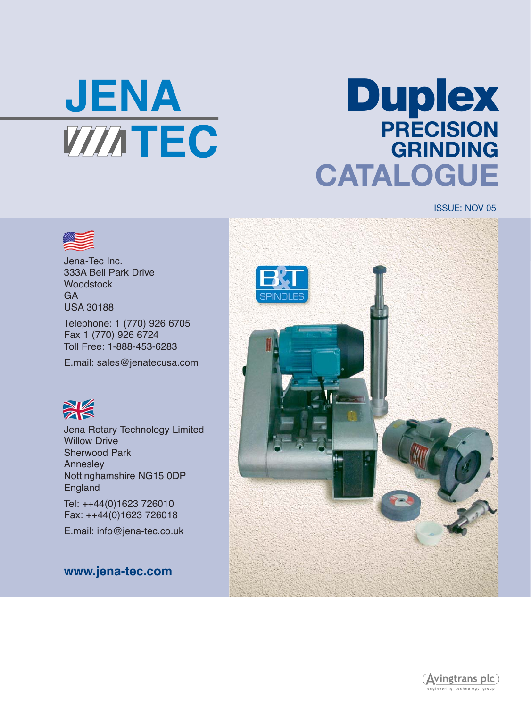

# **Duplex PRECISION GRINDING CATALOGUE**

ISSUE: NOV 05



Jena-Tec Inc. 333A Bell Park Drive **Woodstock** GA USA 30188

Telephone: 1 (770) 926 6705 Fax 1 (770) 926 6724 Toll Free: 1-888-453-6283

E.mail: sales@jenatecusa.com



Jena Rotary Technology Limited Willow Drive Sherwood Park **Anneslev** Nottinghamshire NG15 0DP England

Tel: ++44(0)1623 726010 Fax: ++44(0)1623 726018

E.mail: info@jena-tec.co.uk

**www.jena-tec.com**



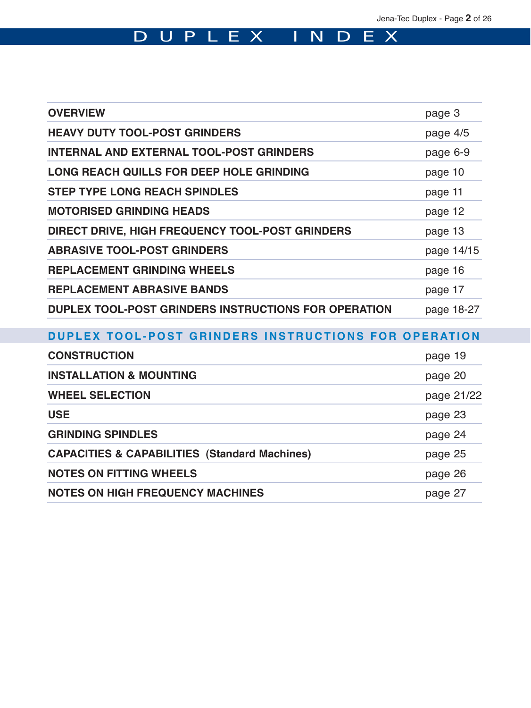# DUPLEX INDEX

| <b>OVERVIEW</b>                                          | page 3     |
|----------------------------------------------------------|------------|
| <b>HEAVY DUTY TOOL-POST GRINDERS</b>                     | page 4/5   |
| <b>INTERNAL AND EXTERNAL TOOL-POST GRINDERS</b>          | page 6-9   |
| LONG REACH QUILLS FOR DEEP HOLE GRINDING                 | page 10    |
| <b>STEP TYPE LONG REACH SPINDLES</b>                     | page 11    |
| <b>MOTORISED GRINDING HEADS</b>                          | page 12    |
| DIRECT DRIVE, HIGH FREQUENCY TOOL-POST GRINDERS          | page 13    |
| <b>ABRASIVE TOOL-POST GRINDERS</b>                       | page 14/15 |
| <b>REPLACEMENT GRINDING WHEELS</b>                       | page 16    |
| <b>REPLACEMENT ABRASIVE BANDS</b>                        | page 17    |
| DUPLEX TOOL-POST GRINDERS INSTRUCTIONS FOR OPERATION     | page 18-27 |
| DUPLEX TOOL-POST GRINDERS INSTRUCTIONS FOR OPERATION     |            |
| <b>CONSTRUCTION</b>                                      | page 19    |
| <b>INSTALLATION &amp; MOUNTING</b>                       | page 20    |
| <b>WHEEL SELECTION</b>                                   | page 21/22 |
| <b>USE</b>                                               | page 23    |
| <b>GRINDING SPINDLES</b>                                 | page 24    |
| <b>CAPACITIES &amp; CAPABILITIES (Standard Machines)</b> | page 25    |
| <b>NOTES ON FITTING WHEELS</b>                           | page 26    |
|                                                          |            |

**NOTES ON HIGH FREQUENCY MACHINES page 27**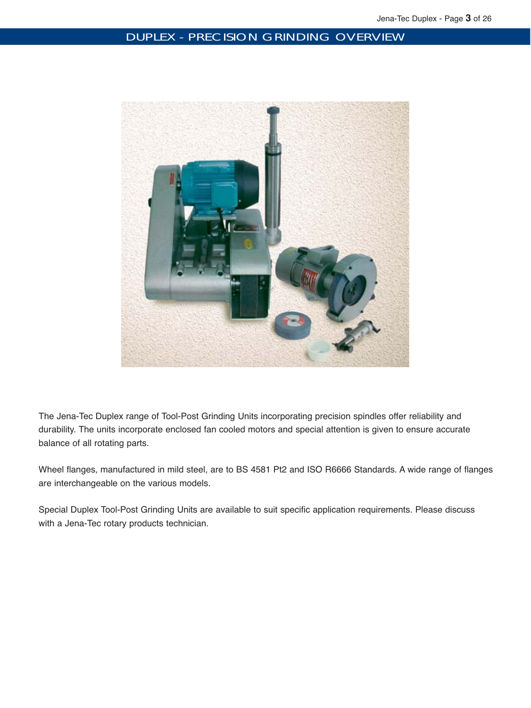# DUPLEX - PRECISION GRINDING OVERVIEW



The Jena-Tec Duplex range of Tool-Post Grinding Units incorporating precision spindles offer reliability and durability. The units incorporate enclosed fan cooled motors and special attention is given to ensure accurate balance of all rotating parts.

Wheel flanges, manufactured in mild steel, are to BS 4581 Pt2 and ISO R6666 Standards. A wide range of flanges are interchangeable on the various models.

Special Duplex Tool-Post Grinding Units are available to suit specific application requirements. Please discuss with a Jena-Tec rotary products technician.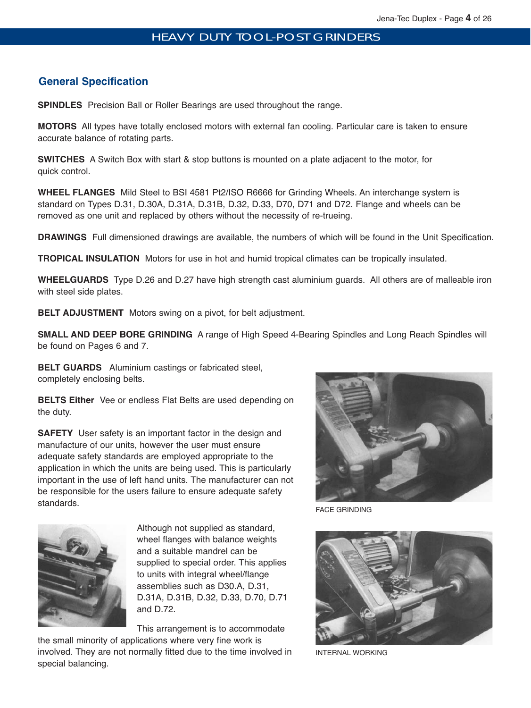# **General Specification**

**SPINDLES** Precision Ball or Roller Bearings are used throughout the range.

**MOTORS** All types have totally enclosed motors with external fan cooling. Particular care is taken to ensure accurate balance of rotating parts.

**SWITCHES** A Switch Box with start & stop buttons is mounted on a plate adjacent to the motor, for quick control.

**WHEEL FLANGES** Mild Steel to BSI 4581 Pt2/ISO R6666 for Grinding Wheels. An interchange system is standard on Types D.31, D.30A, D.31A, D.31B, D.32, D.33, D70, D71 and D72. Flange and wheels can be removed as one unit and replaced by others without the necessity of re-trueing.

**DRAWINGS** Full dimensioned drawings are available, the numbers of which will be found in the Unit Specification.

**TROPICAL INSULATION** Motors for use in hot and humid tropical climates can be tropically insulated.

**WHEELGUARDS** Type D.26 and D.27 have high strength cast aluminium guards. All others are of malleable iron with steel side plates.

**BELT ADJUSTMENT** Motors swing on a pivot, for belt adjustment.

**SMALL AND DEEP BORE GRINDING** A range of High Speed 4-Bearing Spindles and Long Reach Spindles will be found on Pages 6 and 7.

**BELT GUARDS** Aluminium castings or fabricated steel, completely enclosing belts.

**BELTS Either** Vee or endless Flat Belts are used depending on the duty.

**SAFETY** User safety is an important factor in the design and manufacture of our units, however the user must ensure adequate safety standards are employed appropriate to the application in which the units are being used. This is particularly important in the use of left hand units. The manufacturer can not be responsible for the users failure to ensure adequate safety standards.



Although not supplied as standard, wheel flanges with balance weights and a suitable mandrel can be supplied to special order. This applies to units with integral wheel/flange assemblies such as D30.A, D.31, D.31A, D.31B, D.32, D.33, D.70, D.71 and D.72.

This arrangement is to accommodate

the small minority of applications where very fine work is involved. They are not normally fitted due to the time involved in special balancing.



FACE GRINDING



INTERNAL WORKING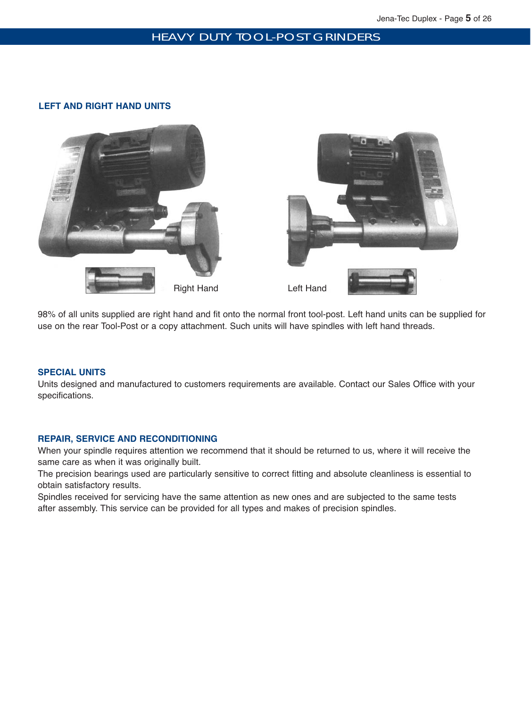## HEAVY DUTY TOOL-POST GRINDERS

#### **LEFT AND RIGHT HAND UNITS**



98% of all units supplied are right hand and fit onto the normal front tool-post. Left hand units can be supplied for use on the rear Tool-Post or a copy attachment. Such units will have spindles with left hand threads.

#### **SPECIAL UNITS**

Units designed and manufactured to customers requirements are available. Contact our Sales Office with your specifications.

#### **REPAIR, SERVICE AND RECONDITIONING**

When your spindle requires attention we recommend that it should be returned to us, where it will receive the same care as when it was originally built.

The precision bearings used are particularly sensitive to correct fitting and absolute cleanliness is essential to obtain satisfactory results.

Spindles received for servicing have the same attention as new ones and are subjected to the same tests after assembly. This service can be provided for all types and makes of precision spindles.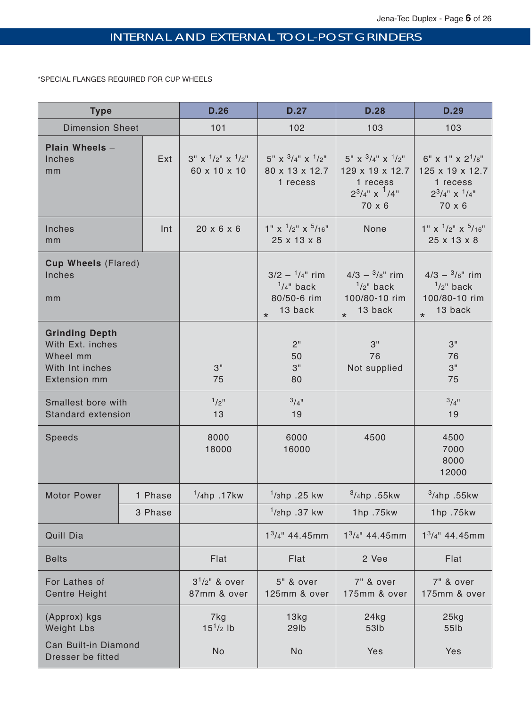# INTERNAL AND EXTERNAL TOOL-POST GRINDERS

\*SPECIAL FLANGES REQUIRED FOR CUP WHEELS

| <b>Type</b>                                                                                     |         |                                           | D.27                                                                          | <b>D.28</b>                                                                                         | D.29                                                                                      |
|-------------------------------------------------------------------------------------------------|---------|-------------------------------------------|-------------------------------------------------------------------------------|-----------------------------------------------------------------------------------------------------|-------------------------------------------------------------------------------------------|
| <b>Dimension Sheet</b>                                                                          |         | 101                                       | 102                                                                           | 103                                                                                                 | 103                                                                                       |
| Plain Wheels -<br>Inches<br>mm                                                                  | Ext     | $3''$ x $1/2''$ x $1/2''$<br>60 x 10 x 10 | $5'' \times \frac{3}{4''} \times \frac{1}{2''}$<br>80 x 13 x 12.7<br>1 recess | $5''$ x $^{3}/_{4}''$ x $^{1}/_{2}''$<br>129 x 19 x 12.7<br>1 recess<br>$2^3/4"$ x $1/4"$<br>70 x 6 | $6''$ x 1" x $2^{1}/8''$<br>125 x 19 x 12.7<br>1 recess<br>$2^3/4''$ x $^1/4''$<br>70 x 6 |
| Inches<br>mm                                                                                    | Int     | $20 \times 6 \times 6$                    | $1''$ x $^{1}/2''$ x $^{5}/16''$<br>25 x 13 x 8                               | None                                                                                                | $1''$ x $1/2''$ x $5/16''$<br>25 x 13 x 8                                                 |
| <b>Cup Wheels (Flared)</b><br>Inches<br>mm                                                      |         |                                           | $3/2 - \frac{1}{4}$ rim<br>$1/4$ " back<br>80/50-6 rim<br>13 back<br>$\star$  | $4/3 - \frac{3}{8}$ " rim<br>$1/2$ " back<br>100/80-10 rim<br>13 back<br>$\star$                    | $4/3 - \frac{3}{8}$ " rim<br>$1/2$ " back<br>100/80-10 rim<br>13 back<br>$\star$          |
| <b>Grinding Depth</b><br>With Ext. inches<br>Wheel mm<br>With Int inches<br><b>Extension mm</b> |         | 3"<br>75                                  | 2"<br>50<br>3"<br>80                                                          | 3"<br>76<br>Not supplied                                                                            | 3"<br>76<br>3"<br>75                                                                      |
| Smallest bore with<br>Standard extension                                                        |         | $1/2$ <sup>11</sup><br>13                 | $3/4$ <sup>11</sup><br>19                                                     |                                                                                                     | $3/4$ <sup>11</sup><br>19                                                                 |
| Speeds                                                                                          |         | 8000<br>18000                             | 6000<br>16000                                                                 | 4500                                                                                                | 4500<br>7000<br>8000<br>12000                                                             |
| <b>Motor Power</b>                                                                              | 1 Phase | $1/4$ hp.17kw                             | $1/3$ hp .25 kw                                                               | $3/4$ hp .55kw                                                                                      | $3/4$ hp .55kw                                                                            |
|                                                                                                 | 3 Phase |                                           | $1/2$ hp .37 kw                                                               | 1hp .75kw                                                                                           | 1hp .75kw                                                                                 |
| Quill Dia                                                                                       |         |                                           | $1^3/4$ " 44.45mm<br>$1^3/4$ " 44.45mm                                        |                                                                                                     | $1^3/4$ " 44.45mm                                                                         |
| <b>Belts</b>                                                                                    |         | Flat                                      | Flat                                                                          | 2 Vee                                                                                               | Flat                                                                                      |
| For Lathes of<br><b>Centre Height</b>                                                           |         | $3^{1}/2$ " & over<br>87mm & over         | 5" & over<br>125mm & over                                                     | 7" & over<br>175mm & over                                                                           | 7" & over<br>175mm & over                                                                 |
| (Approx) kgs<br><b>Weight Lbs</b>                                                               |         | 7kg<br>$15^1$ /2 lb                       | 13kg<br><b>29lb</b>                                                           | 24kg<br>53lb                                                                                        | 25kg<br>55lb                                                                              |
| Can Built-in Diamond<br>Dresser be fitted                                                       |         | No                                        | No                                                                            | Yes                                                                                                 | Yes                                                                                       |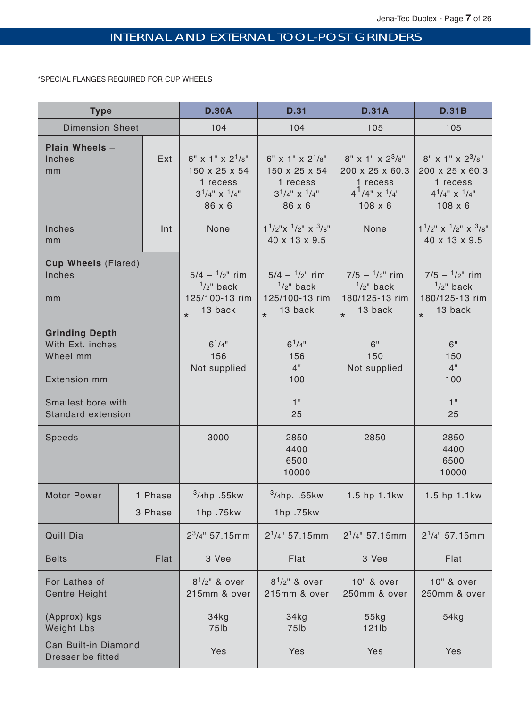# INTERNAL AND EXTERNAL TOOL-POST GRINDERS

\*SPECIAL FLANGES REQUIRED FOR CUP WHEELS

| <b>Type</b>                                                                  |         | <b>D.30A</b>                                                                    | <b>D.31</b>                                                                            | <b>D.31A</b>                                                                                       | <b>D.31B</b>                                                                                          |
|------------------------------------------------------------------------------|---------|---------------------------------------------------------------------------------|----------------------------------------------------------------------------------------|----------------------------------------------------------------------------------------------------|-------------------------------------------------------------------------------------------------------|
| <b>Dimension Sheet</b>                                                       |         | 104                                                                             | 104                                                                                    | 105                                                                                                | 105                                                                                                   |
| Plain Wheels -<br>Inches<br>mm                                               | Ext     |                                                                                 | $6''$ x 1" x $2^{1}/8''$<br>150 x 25 x 54<br>1 recess<br>$3^1/4''$ x $1/4''$<br>86 x 6 | $8''$ x 1" x $2^{3}/8''$<br>200 x 25 x 60.3<br>1 recess<br>$4^{1}/4$ " x $1/4$ "<br>$108 \times 6$ | $8''$ x 1" x $2^{3}/8''$<br>200 x 25 x 60.3<br>1 recess<br>$4^{1}/4$ " x $^{1}/4$ "<br>$108 \times 6$ |
| Inches<br>mm                                                                 | Int     | None                                                                            | $1^1/2''$ x $^1/2''$ x $^3/8''$<br>40 x 13 x 9.5                                       | None                                                                                               | $1^1/2$ " x $^1/2$ " x $^3/8$ "<br>40 x 13 x 9.5                                                      |
| <b>Cup Wheels (Flared)</b><br>Inches<br>mm                                   |         | $5/4 - \frac{1}{2}$ rim<br>$1/2$ " back<br>125/100-13 rim<br>13 back<br>$\star$ | $5/4 - \frac{1}{2}$ rim<br>$1/2$ " back<br>125/100-13 rim<br>13 back<br>$\star$        | $7/5 - \frac{1}{2}$ rim<br>$1/2$ " back<br>180/125-13 rim<br>13 back<br>$\star$                    |                                                                                                       |
| <b>Grinding Depth</b><br>With Ext. inches<br>Wheel mm<br><b>Extension mm</b> |         | $6^{1}/4$ "<br>156<br>Not supplied                                              | $6^{1}/4$ "<br>156<br>4"<br>100                                                        | 6"<br>150<br>Not supplied                                                                          | 6"<br>150<br>4"<br>100                                                                                |
| Smallest bore with<br>Standard extension                                     |         |                                                                                 | 1"<br>25                                                                               |                                                                                                    | 1"<br>25                                                                                              |
| Speeds                                                                       |         | 3000                                                                            | 2850<br>4400<br>6500<br>10000                                                          | 2850                                                                                               | 2850<br>4400<br>6500<br>10000                                                                         |
| <b>Motor Power</b>                                                           | 1 Phase | $3/4$ hp .55kw                                                                  | $3/4$ hp. .55kw                                                                        | 1.5 hp 1.1kw                                                                                       | 1.5 hp 1.1kw                                                                                          |
|                                                                              | 3 Phase | 1hp .75kw                                                                       | 1hp .75kw                                                                              |                                                                                                    |                                                                                                       |
| Quill Dia                                                                    |         | $2^3/4$ " 57.15mm                                                               | $2^1/4$ " 57.15mm                                                                      | $2^1/4$ " 57.15mm                                                                                  | $2^1/4$ " 57.15mm                                                                                     |
| <b>Belts</b><br>Flat                                                         |         | 3 Vee                                                                           | Flat                                                                                   | 3 Vee                                                                                              | Flat                                                                                                  |
| For Lathes of<br><b>Centre Height</b>                                        |         | $8^{1}/2$ " & over<br>215mm & over                                              | $8^{1}/2$ " & over<br>10" & over<br>215mm & over<br>250mm & over                       |                                                                                                    | 10" & over<br>250mm & over                                                                            |
| (Approx) kgs<br><b>Weight Lbs</b>                                            |         | 34kg<br>75lb                                                                    | 34kg<br>55kg<br>75lb<br>121lb                                                          |                                                                                                    | 54kg                                                                                                  |
| Can Built-in Diamond<br>Dresser be fitted                                    |         | Yes                                                                             | Yes                                                                                    | Yes                                                                                                | Yes                                                                                                   |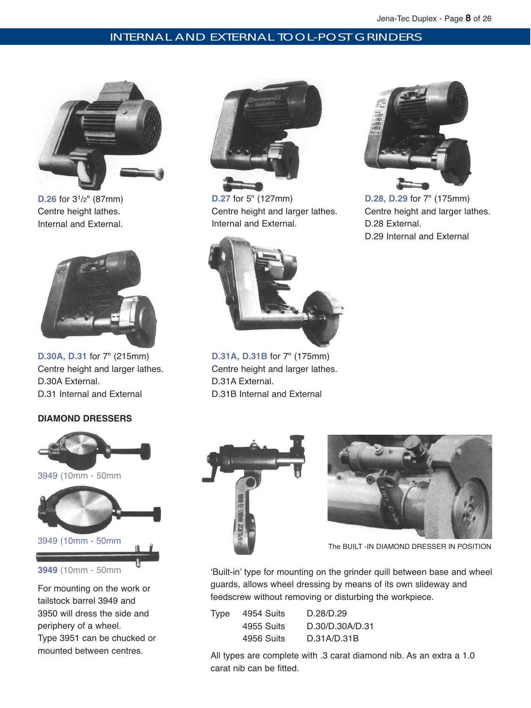# INTERNAL AND EXTERNAL TOOL-POST GRINDERS



**D.26** for 31/2" (87mm) Centre height lathes. Internal and External.



**D.30A, D.31** for 7" (215mm) Centre height and larger lathes. D.30A External. D.31 Internal and External

## **DIAMOND DRESSERS**



For mounting on the work or tailstock barrel 3949 and 3950 will dress the side and periphery of a wheel. Type 3951 can be chucked or mounted between centres.



**D.27** for 5" (127mm) Centre height and larger lathes. Internal and External.



**D.31A, D.31B** for 7" (175mm) Centre height and larger lathes. D.31A External. D.31B Internal and External



**D.28, D.29** for 7" (175mm) Centre height and larger lathes. D.28 External. D.29 Internal and External





The BUILT -IN DIAMOND DRESSER IN POSITION

'Built-in' type for mounting on the grinder quill between base and wheel guards, allows wheel dressing by means of its own slideway and feedscrew without removing or disturbing the workpiece.

| Type | 4954 Suits | D.28/D.29       |
|------|------------|-----------------|
|      | 4955 Suits | D.30/D.30A/D.31 |
|      | 4956 Suits | D.31A/D.31B     |
|      |            |                 |

All types are complete with .3 carat diamond nib. As an extra a 1.0 carat nib can be fitted.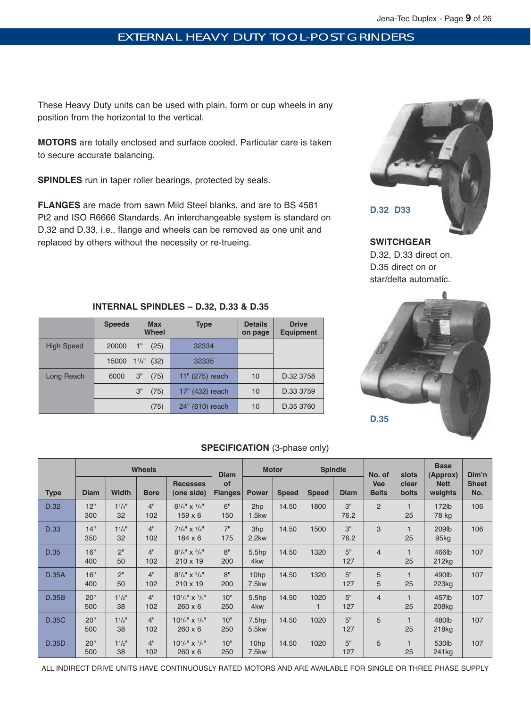# EXTERNAL HEAVY DUTY TOOL-POST GRINDERS

These Heavy Duty units can be used with plain, form or cup wheels in any position from the horizontal to the vertical.

**MOTORS** are totally enclosed and surface cooled. Particular care is taken to secure accurate balancing.

**SPINDLES** run in taper roller bearings, protected by seals.

**FLANGES** are made from sawn Mild Steel blanks, and are to BS 4581 Pt2 and ISO R6666 Standards. An interchangeable system is standard on D.32 and D.33, i.e., flange and wheels can be removed as one unit and replaced by others without the necessity or re-trueing.



# **SWITCHGEAR** D.32, D.33 direct on. D.35 direct on or star/delta automatic.



# **INTERNAL SPINDLES – D.32, D.33 & D.35**

|                   | <b>Speeds</b><br><b>Max</b><br><b>Wheel</b> | <b>Type</b>          | <b>Details</b><br>on page | <b>Drive</b><br><b>Equipment</b> |
|-------------------|---------------------------------------------|----------------------|---------------------------|----------------------------------|
| <b>High Speed</b> | 1"<br>(25)<br>20000                         | 32334                |                           |                                  |
|                   | 15000 1 <sup>1</sup> / <sub>4</sub> " (32)  | 32335                |                           |                                  |
| Long Reach        | 3"<br>(75)<br>6000                          | 11" (275) reach      | 10                        | D.32 3758                        |
|                   | 3"<br>(75)                                  | 17" (432) reach      | 10                        | D.33 3759                        |
|                   | (75)                                        | 24"<br>$(610)$ reach | 10                        | D.35 3760                        |

# **SPECIFICATION** (3-phase only)

|              | <b>Wheels</b> |                               |             |                                             | <b>Diam</b>          |                                      | <b>Motor</b> |              | <b>Spindle</b> | No. of                     | slots          | <b>Base</b><br>(Approx)               | Dim'n               |
|--------------|---------------|-------------------------------|-------------|---------------------------------------------|----------------------|--------------------------------------|--------------|--------------|----------------|----------------------------|----------------|---------------------------------------|---------------------|
| <b>Type</b>  | <b>Diam</b>   | <b>Width</b>                  | <b>Bore</b> | <b>Recesses</b><br>(one side)               | of<br><b>Flanges</b> | <b>Power</b>                         | <b>Speed</b> | <b>Speed</b> | <b>Diam</b>    | <b>Vee</b><br><b>Belts</b> | clear<br>bolts | <b>Nett</b><br>weights                | <b>Sheet</b><br>No. |
| D.32         | 12"<br>300    | $1^{1}/4$ <sup>11</sup><br>32 | 4"<br>102   | $6^{1}/4''$ x $^{1}/4''$<br>$159 \times 6$  | 6"<br>150            | 2hp<br>1.5kw                         | 14.50        | 1800         | 3"<br>76.2     | $\overline{2}$             | 25             | 172lb<br>78 kg                        | 106                 |
| D.33         | 14"<br>350    | $1^{1}/4$ "<br>32             | 4"<br>102   | $7^{1}/4''$ X $^{1}/4''$<br>$184 \times 6$  | 7"<br>175            | 3hp<br>2.2kw                         | 14.50        | 1500         | 3"<br>76.2     | 3                          | 25             | 209 <sub>lb</sub><br>95 <sub>kq</sub> | 106                 |
| D.35         | 16"<br>400    | 2 <sup>11</sup><br>50         | 4"<br>102   | $8^{1}/4''$ x $3/4''$<br>$210 \times 19$    | 8"<br>200            | 5.5 <sub>hp</sub><br>4 <sub>kw</sub> | 14.50        | 1320         | 5"<br>127      | 4                          | 25             | 466lb<br>212kg                        | 107                 |
| <b>D.35A</b> | 16"<br>400    | 2 <sup>11</sup><br>50         | 4"<br>102   | $8^{1}/4''$ x $3/4''$<br>$210 \times 19$    | 8"<br>200            | 10hp<br>7.5kw                        | 14.50        | 1320         | 5"<br>127      | 5<br>5                     | 25             | 490lb<br>223kg                        | 107                 |
| D.35B        | 20"<br>500    | $1^{1}/2$ "<br>38             | 4"<br>102   | $10^{1}/4''$ x $^{1}/4''$<br>$260 \times 6$ | 10"<br>250           | 5.5hp<br>4 <sub>kw</sub>             | 14.50        | 1020         | 5"<br>127      | 4                          | 25             | 457lb<br>208kg                        | 107                 |
| <b>D.35C</b> | 20"<br>500    | $1^{1}/2$ "<br>38             | 4"<br>102   | $10^{1}/4''$ x $^{1}/4''$<br>$260 \times 6$ | 10"<br>250           | 7.5 <sub>hp</sub><br>5.5kw           | 14.50        | 1020         | 5"<br>127      | 5                          | 25             | 480lb<br>218 <sub>kg</sub>            | 107                 |
| <b>D.35D</b> | 20"<br>500    | $1^{1}/2$ <sup>11</sup><br>38 | 4"<br>102   | $10^{1}/4''$ x $^{1}/4''$<br>$260 \times 6$ | 10"<br>250           | 10hp<br>7.5kw                        | 14.50        | 1020         | 5"<br>127      | 5                          | 25             | 530lb<br>241 <sub>kg</sub>            | 107                 |

ALL INDIRECT DRIVE UNITS HAVE CONTINUOUSLY RATED MOTORS AND ARE AVAILABLE FOR SINGLE OR THREE PHASE SUPPLY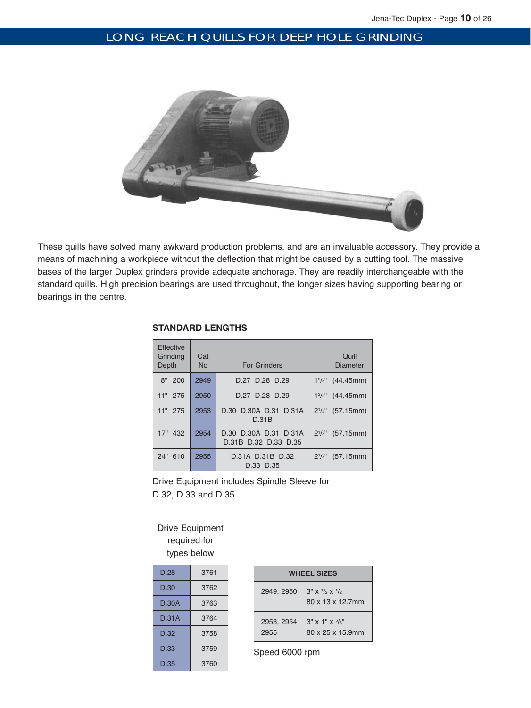# LONG REACH QUILLS FOR DEEP HOLE GRINDING



These quills have solved many awkward production problems, and are an invaluable accessory. They provide a means of machining a workpiece without the deflection that might be caused by a cutting tool. The massive bases of the larger Duplex grinders provide adequate anchorage. They are readily interchangeable with the standard quills. High precision bearings are used throughout, the longer sizes having supporting bearing or bearings in the centre.

| <b>Effective</b><br>Grinding<br>Depth | Cat<br><b>No</b> | <b>For Grinders</b>                           | Quill<br><b>Diameter</b>   |
|---------------------------------------|------------------|-----------------------------------------------|----------------------------|
| 8"<br>200                             | 2949             | D.27 D.28 D.29                                | $1\frac{3}{4}$ " (44.45mm) |
| 11" 275                               | 2950             | D.27 D.28 D.29                                | $1\frac{3}{4}$ " (44.45mm) |
| 11" 275                               | 2953             | D.30 D.30A D.31 D.31A<br>D.31B                | $2^{1/4}$ (57.15mm)        |
| 17" 432                               | 2954             | D.30 D.30A D.31 D.31A<br>D.31B D.32 D.33 D.35 | $2^{1/4}$ (57.15mm)        |
| 24"<br>610                            | 2955             | D.31A D.31B D.32<br>D.33 D.35                 | $2^{1}/4$ "<br>(57.15mm)   |

# **STANDARD LENGTHS**

Drive Equipment includes Spindle Sleeve for D.32, D.33 and D.35

# Drive Equipment required for types below

| D.28  | 3761 |
|-------|------|
| D.30  | 3762 |
| D.30A | 3763 |
| D.31A | 3764 |
| D.32  | 3758 |
| D.33  | 3759 |
| D.35  | 3760 |

| <b>WHEEL SIZES</b> |                                                                 |  |  |  |
|--------------------|-----------------------------------------------------------------|--|--|--|
| 2949, 2950         | $3'' \times \frac{1}{2} \times \frac{1}{2}$<br>80 x 13 x 12.7mm |  |  |  |
| 2953, 2954<br>2955 | $3''$ x 1" x $5/8''$<br>80 x 25 x 15.9mm                        |  |  |  |

Speed 6000 rpm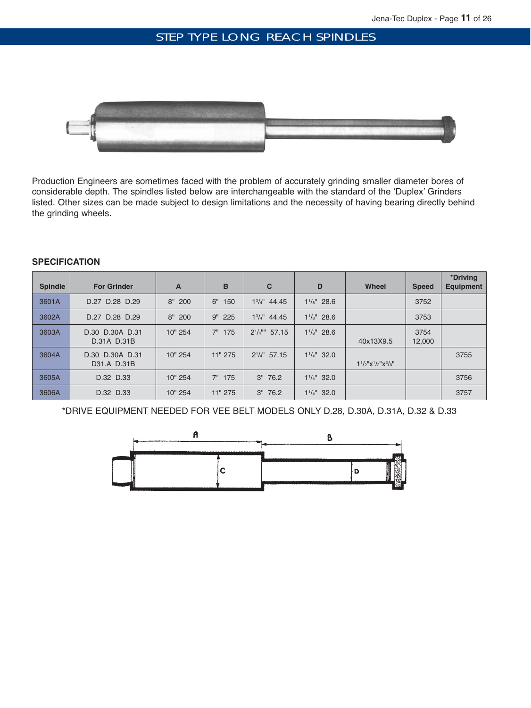# STEP TYPE LONG REACH SPINDLES



Production Engineers are sometimes faced with the problem of accurately grinding smaller diameter bores of considerable depth. The spindles listed below are interchangeable with the standard of the 'Duplex' Grinders listed. Other sizes can be made subject to design limitations and the necessity of having bearing directly behind the grinding wheels.

## **SPECIFICATION**

| <b>Spindle</b> | <b>For Grinder</b>             | A         | B         | C                              | D                     | Wheel                               | <b>Speed</b>   | *Driving<br><b>Equipment</b> |
|----------------|--------------------------------|-----------|-----------|--------------------------------|-----------------------|-------------------------------------|----------------|------------------------------|
| 3601A          | D.27 D.28 D.29                 | $8''$ 200 | 6"<br>150 | $1^{3}/4"$ 44.45               | $1\frac{1}{8}$ " 28.6 |                                     | 3752           |                              |
| 3602A          | D.27 D.28 D.29                 | $8''$ 200 | 9" 225    | $1^{3}/4$ " 44.45              | $1\frac{1}{8}$ 28.6   |                                     | 3753           |                              |
| 3603A          | D.30 D.30A D.31<br>D.31A D.31B | 10" 254   | 175<br>7" | $2^{1}/4$ <sup>III</sup> 57.15 | $1^{1}/s$ " 28.6      | 40x13X9.5                           | 3754<br>12,000 |                              |
| 3604A          | D.30 D.30A D.31<br>D31.A D.31B | 10" 254   | 11" 275   | $2^{1}/4"$ 57.15               | $1^{1}/4$ " 32.0      | $1^{1}/2$ " $x^{1}/2$ " $x^{3}/8$ " |                | 3755                         |
| 3605A          | D.32 D.33                      | 10" 254   | 175<br>7" | $3''$ 76.2                     | $1^{1}/4$ " 32.0      |                                     |                | 3756                         |
| 3606A          | D.32 D.33                      | 10" 254   | 11" 275   | $3''$ 76.2                     | $1^{1}/4$ " 32.0      |                                     |                | 3757                         |

\*DRIVE EQUIPMENT NEEDED FOR VEE BELT MODELS ONLY D.28, D.30A, D.31A, D.32 & D.33

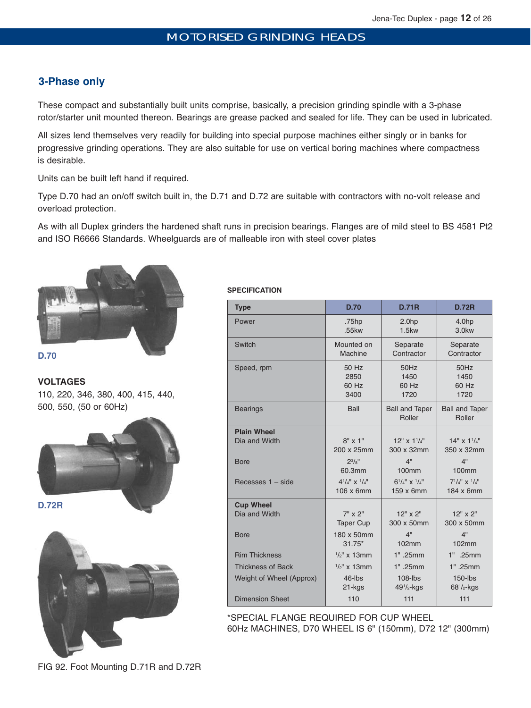# **3-Phase only**

These compact and substantially built units comprise, basically, a precision grinding spindle with a 3-phase rotor/starter unit mounted thereon. Bearings are grease packed and sealed for life. They can be used in lubricated.

All sizes lend themselves very readily for building into special purpose machines either singly or in banks for progressive grinding operations. They are also suitable for use on vertical boring machines where compactness is desirable.

Units can be built left hand if required.

Type D.70 had an on/off switch built in, the D.71 and D.72 are suitable with contractors with no-volt release and overload protection.

As with all Duplex grinders the hardened shaft runs in precision bearings. Flanges are of mild steel to BS 4581 Pt2 and ISO R6666 Standards. Wheelguards are of malleable iron with steel cover plates



**D.70**

**VOLTAGES**  110, 220, 346, 380, 400, 415, 440, 500, 550, (50 or 60Hz)



#### **SPECIFICATION**

| <b>Type</b>              | <b>D.70</b>                    | <b>D.71R</b>                    | <b>D.72R</b>                    |
|--------------------------|--------------------------------|---------------------------------|---------------------------------|
| Power                    | .75hp                          | 2.0 <sub>hp</sub>               | 4.0hp                           |
|                          | .55kw                          | $1.5$ kw                        | 3.0kw                           |
| Switch                   | Mounted on                     | Separate                        | Separate                        |
|                          | Machine                        | Contractor                      | Contractor                      |
| Speed, rpm               | 50 Hz                          | 50Hz                            | 50Hz                            |
|                          | 2850                           | 1450                            | 1450                            |
|                          | 60 Hz                          | 60 Hz                           | 60 Hz                           |
|                          | 3400                           | 1720                            | 1720                            |
| <b>Bearings</b>          | Ball                           | <b>Ball and Taper</b><br>Roller | <b>Ball and Taper</b><br>Roller |
| <b>Plain Wheel</b>       | $8'' \times 1''$               | $12'' \times 11/4''$            | $14" \times 11/4"$              |
| Dia and Width            | 200 x 25mm                     | 300 x 32mm                      | 350 x 32mm                      |
| Bore                     | $2^{3}/8$ <sup>"</sup>         | 4"                              | 4"                              |
|                          | 60.3mm                         | 100mm                           | 100mm                           |
| Recesses $1 - side$      | $4^{1}/_{4}$ " x $^{1}/_{4}$ " | $6^{1}/4''$ x $^{1}/4''$        | $7^{1}/_{4}$ " x $^{1}/_{4}$ "  |
|                          | 106 x 6mm                      | 159 x 6mm                       | 184 x 6mm                       |
| <b>Cup Wheel</b>         | 7" x 2"                        | $12''$ x $2''$                  | $12''$ x $2''$                  |
| Dia and Width            | <b>Taper Cup</b>               | 300 x 50mm                      | 300 x 50mm                      |
| <b>Bore</b>              | 180 x 50mm                     | 4"                              | 4"                              |
|                          | $31.75*$                       | 102mm                           | 102mm                           |
| <b>Rim Thickness</b>     | $1/2$ " x 13mm                 | 1" .25mm                        | 1" .25mm                        |
| <b>Thickness of Back</b> | $1/2$ " x 13mm                 | 1" .25mm                        | 1" .25mm                        |
| Weight of Wheel (Approx) | $46$ -lbs                      | $108$ -lbs                      | $150$ -lbs                      |
|                          | 21-kgs                         | $491/2$ -kgs                    | $68^{1}/_{2}$ -kgs              |
| <b>Dimension Sheet</b>   | 110                            | 111                             | 111                             |

\*SPECIAL FLANGE REQUIRED FOR CUP WHEEL 60Hz MACHINES, D70 WHEEL IS 6" (150mm), D72 12" (300mm)

FIG 92. Foot Mounting D.71R and D.72R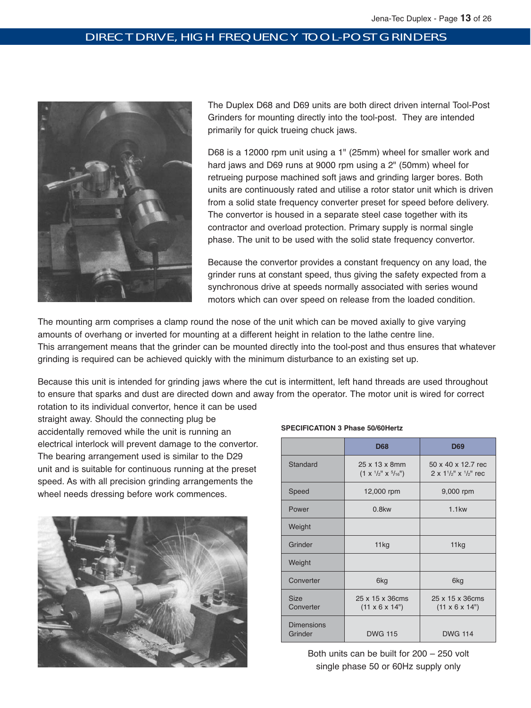# DIRECT DRIVE, HIGH FREQUENCY TOOL-POST GRINDERS



The Duplex D68 and D69 units are both direct driven internal Tool-Post Grinders for mounting directly into the tool-post. They are intended primarily for quick trueing chuck jaws.

D68 is a 12000 rpm unit using a 1" (25mm) wheel for smaller work and hard jaws and D69 runs at 9000 rpm using a 2" (50mm) wheel for retrueing purpose machined soft jaws and grinding larger bores. Both units are continuously rated and utilise a rotor stator unit which is driven from a solid state frequency converter preset for speed before delivery. The convertor is housed in a separate steel case together with its contractor and overload protection. Primary supply is normal single phase. The unit to be used with the solid state frequency convertor.

Because the convertor provides a constant frequency on any load, the grinder runs at constant speed, thus giving the safety expected from a synchronous drive at speeds normally associated with series wound motors which can over speed on release from the loaded condition.

The mounting arm comprises a clamp round the nose of the unit which can be moved axially to give varying amounts of overhang or inverted for mounting at a different height in relation to the lathe centre line. This arrangement means that the grinder can be mounted directly into the tool-post and thus ensures that whatever grinding is required can be achieved quickly with the minimum disturbance to an existing set up.

Because this unit is intended for grinding jaws where the cut is intermittent, left hand threads are used throughout to ensure that sparks and dust are directed down and away from the operator. The motor unit is wired for correct rotation to its individual convertor, hence it can be used

straight away. Should the connecting plug be accidentally removed while the unit is running an electrical interlock will prevent damage to the convertor. The bearing arrangement used is similar to the D29 unit and is suitable for continuous running at the preset speed. As with all precision grinding arrangements the wheel needs dressing before work commences.



#### **SPECIFICATION 3 Phase 50/60Hertz**

|                              | <b>D68</b>                                                          | <b>D69</b>                                                      |
|------------------------------|---------------------------------------------------------------------|-----------------------------------------------------------------|
| Standard                     | 25 x 13 x 8mm<br>$(1 \times \frac{1}{2}$ " $\times \frac{5}{16}$ ") | 50 x 40 x 12.7 rec<br>$2 \times 1^{1/2}$ " $\times$ $1/2$ " rec |
| Speed                        | 12,000 rpm                                                          | 9,000 rpm                                                       |
| Power                        | $0.8$ kw                                                            | $1.1$ kw                                                        |
| Weight                       |                                                                     |                                                                 |
| Grinder                      | 11kg                                                                | 11kg                                                            |
| Weight                       |                                                                     |                                                                 |
| Converter                    | 6kg                                                                 | 6kg                                                             |
| <b>Size</b><br>Converter     | 25 x 15 x 36cms<br>$(11 \times 6 \times 14")$                       | 25 x 15 x 36cms<br>$(11 \times 6 \times 14")$                   |
| <b>Dimensions</b><br>Grinder | <b>DWG 115</b>                                                      | <b>DWG 114</b>                                                  |

Both units can be built for 200 – 250 volt single phase 50 or 60Hz supply only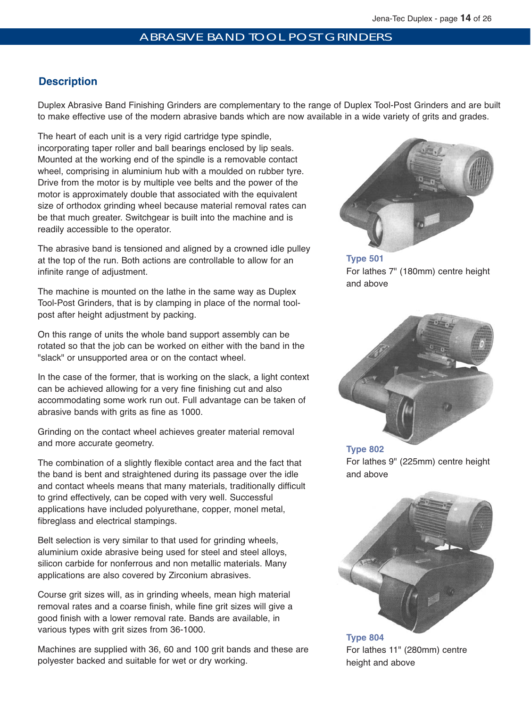#### ABRASIVE BAND TOOL POST GRINDERS

# **Description**

Duplex Abrasive Band Finishing Grinders are complementary to the range of Duplex Tool-Post Grinders and are built to make effective use of the modern abrasive bands which are now available in a wide variety of grits and grades.

The heart of each unit is a very rigid cartridge type spindle, incorporating taper roller and ball bearings enclosed by lip seals. Mounted at the working end of the spindle is a removable contact wheel, comprising in aluminium hub with a moulded on rubber tyre. Drive from the motor is by multiple vee belts and the power of the motor is approximately double that associated with the equivalent size of orthodox grinding wheel because material removal rates can be that much greater. Switchgear is built into the machine and is readily accessible to the operator.

The abrasive band is tensioned and aligned by a crowned idle pulley at the top of the run. Both actions are controllable to allow for an infinite range of adjustment.

The machine is mounted on the lathe in the same way as Duplex Tool-Post Grinders, that is by clamping in place of the normal toolpost after height adjustment by packing.

On this range of units the whole band support assembly can be rotated so that the job can be worked on either with the band in the "slack" or unsupported area or on the contact wheel.

In the case of the former, that is working on the slack, a light context can be achieved allowing for a very fine finishing cut and also accommodating some work run out. Full advantage can be taken of abrasive bands with grits as fine as 1000.

Grinding on the contact wheel achieves greater material removal and more accurate geometry.

The combination of a slightly flexible contact area and the fact that the band is bent and straightened during its passage over the idle and contact wheels means that many materials, traditionally difficult to grind effectively, can be coped with very well. Successful applications have included polyurethane, copper, monel metal, fibreglass and electrical stampings.

Belt selection is very similar to that used for grinding wheels, aluminium oxide abrasive being used for steel and steel alloys, silicon carbide for nonferrous and non metallic materials. Many applications are also covered by Zirconium abrasives.

Course grit sizes will, as in grinding wheels, mean high material removal rates and a coarse finish, while fine grit sizes will give a good finish with a lower removal rate. Bands are available, in various types with grit sizes from 36-1000.

Machines are supplied with 36, 60 and 100 grit bands and these are polyester backed and suitable for wet or dry working.



**Type 501** For lathes 7" (180mm) centre height and above



**Type 802** For lathes 9" (225mm) centre height and above



**Type 804** For lathes 11" (280mm) centre height and above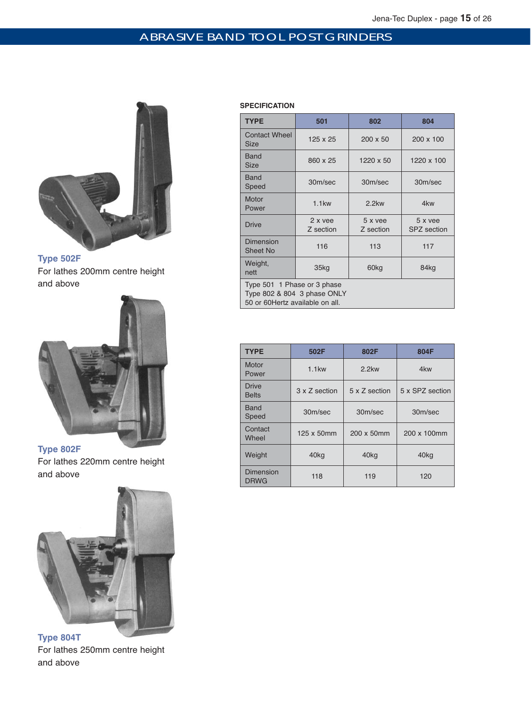# ABRASIVE BAND TOOL POST GRINDERS



**Type 502F** For lathes 200mm centre height and above



For lathes 220mm centre height and above



**Type 804T** For lathes 250mm centre height and above

# **SPECIFICATION**

| <b>TYPE</b>                                                                                    | 501                  | 802                  | 804                           |  |
|------------------------------------------------------------------------------------------------|----------------------|----------------------|-------------------------------|--|
| <b>Contact Wheel</b><br>Size                                                                   | 125 x 25             | $200 \times 50$      | 200 x 100                     |  |
| Band<br><b>Size</b>                                                                            | 860 x 25             | 1220 x 50            | 1220 x 100                    |  |
| <b>Band</b><br>Speed                                                                           | 30m/sec              | 30m/sec              | 30m/sec                       |  |
| Motor<br>Power                                                                                 | $1.1$ kw             | $2.2$ kw             | 4kw                           |  |
| <b>Drive</b>                                                                                   | 2 x vee<br>Z section | 5 x yee<br>Z section | 5 x yee<br><b>SPZ</b> section |  |
| <b>Dimension</b><br><b>Sheet No</b>                                                            | 116                  | 113                  | 117                           |  |
| Weight,<br>nett                                                                                | 35kg                 |                      | 84kg                          |  |
| Type 501 1 Phase or 3 phase<br>Type 802 & 804 3 phase ONLY<br>50 or 60 Hertz available on all. |                      |                      |                               |  |

| <b>TYPE</b>                  | 502F          | 802F             | 804F             |  |
|------------------------------|---------------|------------------|------------------|--|
| Motor<br>Power               | $1.1$ kw      | $2.2$ kw         | 4kw              |  |
| <b>Drive</b><br><b>Belts</b> | 3 x Z section | 5 x Z section    | 5 x SPZ section  |  |
| <b>Band</b><br>Speed         | 30m/sec       | 30m/sec          | 30m/sec          |  |
| Contact<br>Wheel             | 125 x 50mm    | 200 x 50mm       | 200 x 100mm      |  |
| Weight                       | 40kg          | 40 <sub>kg</sub> | 40 <sub>kg</sub> |  |
| Dimension<br><b>DRWG</b>     | 118           | 119              | 120              |  |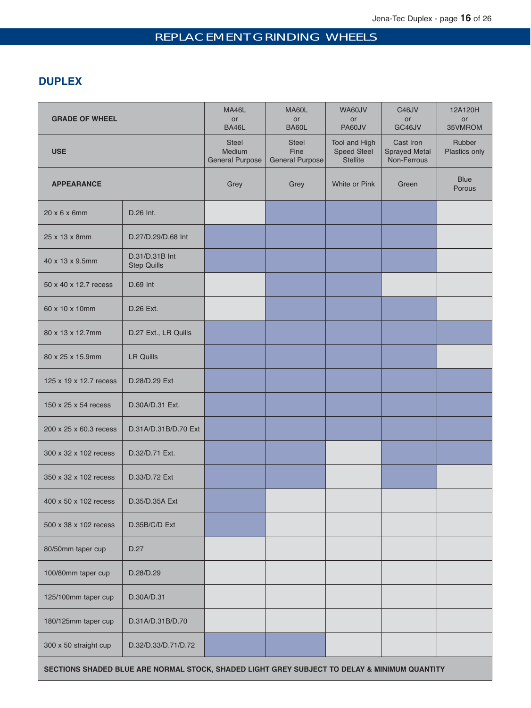# REPLACEMENT GRINDING WHEELS

# **DUPLEX**

| <b>GRADE OF WHEEL</b>  |                                      | MA46L<br>or<br>BA46L                             | MA60L<br>or<br>BA60L                           | WA60JV<br><b>or</b><br>PA60JV                   | C46JV<br>or<br>GC46JV                            | 12A120H<br>or<br>35VMROM |
|------------------------|--------------------------------------|--------------------------------------------------|------------------------------------------------|-------------------------------------------------|--------------------------------------------------|--------------------------|
| <b>USE</b>             |                                      | <b>Steel</b><br>Medium<br><b>General Purpose</b> | <b>Steel</b><br>Fine<br><b>General Purpose</b> | Tool and High<br>Speed Steel<br><b>Stellite</b> | Cast Iron<br><b>Sprayed Metal</b><br>Non-Ferrous | Rubber<br>Plastics only  |
| <b>APPEARANCE</b>      |                                      | Grey                                             | Grey                                           | White or Pink                                   | Green                                            | <b>Blue</b><br>Porous    |
| 20 x 6 x 6mm           | D.26 Int.                            |                                                  |                                                |                                                 |                                                  |                          |
| 25 x 13 x 8mm          | D.27/D.29/D.68 Int                   |                                                  |                                                |                                                 |                                                  |                          |
| 40 x 13 x 9.5mm        | D.31/D.31B Int<br><b>Step Quills</b> |                                                  |                                                |                                                 |                                                  |                          |
| 50 x 40 x 12.7 recess  | D.69 Int                             |                                                  |                                                |                                                 |                                                  |                          |
| 60 x 10 x 10mm         | D.26 Ext.                            |                                                  |                                                |                                                 |                                                  |                          |
| 80 x 13 x 12.7mm       | D.27 Ext., LR Quills                 |                                                  |                                                |                                                 |                                                  |                          |
| 80 x 25 x 15.9mm       | <b>LR Quills</b>                     |                                                  |                                                |                                                 |                                                  |                          |
| 125 x 19 x 12.7 recess | D.28/D.29 Ext                        |                                                  |                                                |                                                 |                                                  |                          |
| 150 x 25 x 54 recess   | D.30A/D.31 Ext.                      |                                                  |                                                |                                                 |                                                  |                          |
| 200 x 25 x 60.3 recess | D.31A/D.31B/D.70 Ext                 |                                                  |                                                |                                                 |                                                  |                          |
| 300 x 32 x 102 recess  | D.32/D.71 Ext.                       |                                                  |                                                |                                                 |                                                  |                          |
| 350 x 32 x 102 recess  | D.33/D.72 Ext                        |                                                  |                                                |                                                 |                                                  |                          |
| 400 x 50 x 102 recess  | D.35/D.35A Ext                       |                                                  |                                                |                                                 |                                                  |                          |
| 500 x 38 x 102 recess  | D.35B/C/D Ext                        |                                                  |                                                |                                                 |                                                  |                          |
| 80/50mm taper cup      | D.27                                 |                                                  |                                                |                                                 |                                                  |                          |
| 100/80mm taper cup     | D.28/D.29                            |                                                  |                                                |                                                 |                                                  |                          |
| 125/100mm taper cup    | D.30A/D.31                           |                                                  |                                                |                                                 |                                                  |                          |
| 180/125mm taper cup    | D.31A/D.31B/D.70                     |                                                  |                                                |                                                 |                                                  |                          |
| 300 x 50 straight cup  | D.32/D.33/D.71/D.72                  |                                                  |                                                |                                                 |                                                  |                          |
|                        |                                      |                                                  |                                                |                                                 |                                                  |                          |

**SECTIONS SHADED BLUE ARE NORMAL STOCK, SHADED LIGHT GREY SUBJECT TO DELAY & MINIMUM QUANTITY**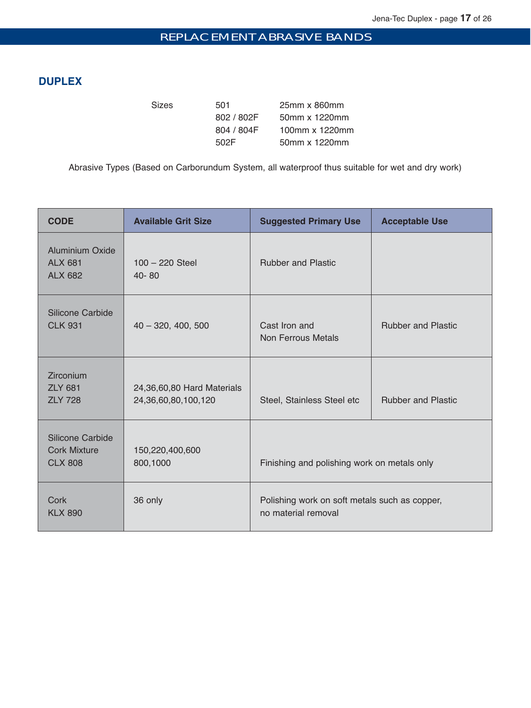# REPLACEMENT ABRASIVE BANDS

# **DUPLEX**

Sizes 501 25mm x 860mm 802 / 802F 50mm x 1220mm 804 / 804F 100mm x 1220mm 502F 50mm x 1220mm

Abrasive Types (Based on Carborundum System, all waterproof thus suitable for wet and dry work)

| <b>CODE</b>                                                | <b>Available Grit Size</b>                        | <b>Suggested Primary Use</b>                                         | <b>Acceptable Use</b>     |
|------------------------------------------------------------|---------------------------------------------------|----------------------------------------------------------------------|---------------------------|
| <b>Aluminium Oxide</b><br><b>ALX 681</b><br><b>ALX 682</b> | $100 - 220$ Steel<br>$40 - 80$                    | <b>Rubber and Plastic</b>                                            |                           |
| Silicone Carbide<br><b>CLK 931</b>                         | $40 - 320, 400, 500$                              | Cast Iron and<br>Non Ferrous Metals                                  | <b>Rubber and Plastic</b> |
| Zirconium<br><b>ZLY 681</b><br><b>ZLY 728</b>              | 24,36,60,80 Hard Materials<br>24,36,60,80,100,120 | Steel, Stainless Steel etc                                           | <b>Rubber and Plastic</b> |
| Silicone Carbide<br><b>Cork Mixture</b><br><b>CLX 808</b>  | 150,220,400,600<br>800,1000                       | Finishing and polishing work on metals only                          |                           |
| Cork<br><b>KLX 890</b>                                     | 36 only                                           | Polishing work on soft metals such as copper,<br>no material removal |                           |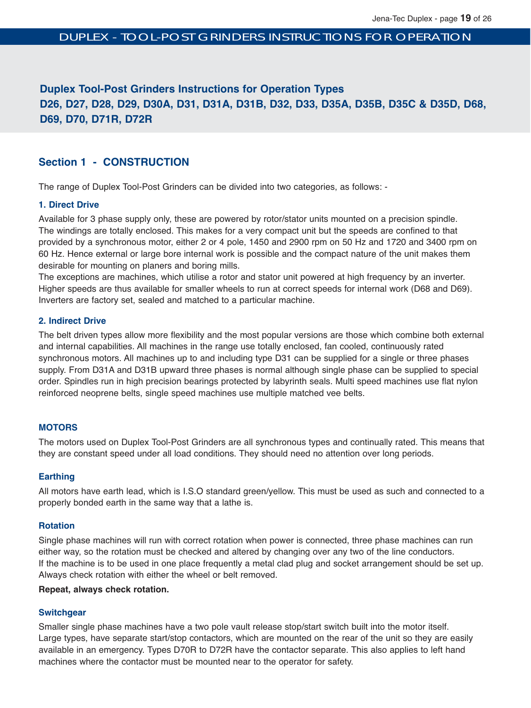# **Duplex Tool-Post Grinders Instructions for Operation Types D26, D27, D28, D29, D30A, D31, D31A, D31B, D32, D33, D35A, D35B, D35C & D35D, D68, D69, D70, D71R, D72R**

# **Section 1 - CONSTRUCTION**

The range of Duplex Tool-Post Grinders can be divided into two categories, as follows: -

#### **1. Direct Drive**

Available for 3 phase supply only, these are powered by rotor/stator units mounted on a precision spindle. The windings are totally enclosed. This makes for a very compact unit but the speeds are confined to that provided by a synchronous motor, either 2 or 4 pole, 1450 and 2900 rpm on 50 Hz and 1720 and 3400 rpm on 60 Hz. Hence external or large bore internal work is possible and the compact nature of the unit makes them desirable for mounting on planers and boring mills.

The exceptions are machines, which utilise a rotor and stator unit powered at high frequency by an inverter. Higher speeds are thus available for smaller wheels to run at correct speeds for internal work (D68 and D69). Inverters are factory set, sealed and matched to a particular machine.

#### **2. Indirect Drive**

The belt driven types allow more flexibility and the most popular versions are those which combine both external and internal capabilities. All machines in the range use totally enclosed, fan cooled, continuously rated synchronous motors. All machines up to and including type D31 can be supplied for a single or three phases supply. From D31A and D31B upward three phases is normal although single phase can be supplied to special order. Spindles run in high precision bearings protected by labyrinth seals. Multi speed machines use flat nylon reinforced neoprene belts, single speed machines use multiple matched vee belts.

#### **MOTORS**

The motors used on Duplex Tool-Post Grinders are all synchronous types and continually rated. This means that they are constant speed under all load conditions. They should need no attention over long periods.

#### **Earthing**

All motors have earth lead, which is I.S.O standard green/yellow. This must be used as such and connected to a properly bonded earth in the same way that a lathe is.

#### **Rotation**

Single phase machines will run with correct rotation when power is connected, three phase machines can run either way, so the rotation must be checked and altered by changing over any two of the line conductors. If the machine is to be used in one place frequently a metal clad plug and socket arrangement should be set up. Always check rotation with either the wheel or belt removed.

#### **Repeat, always check rotation.**

#### **Switchgear**

Smaller single phase machines have a two pole vault release stop/start switch built into the motor itself. Large types, have separate start/stop contactors, which are mounted on the rear of the unit so they are easily available in an emergency. Types D70R to D72R have the contactor separate. This also applies to left hand machines where the contactor must be mounted near to the operator for safety.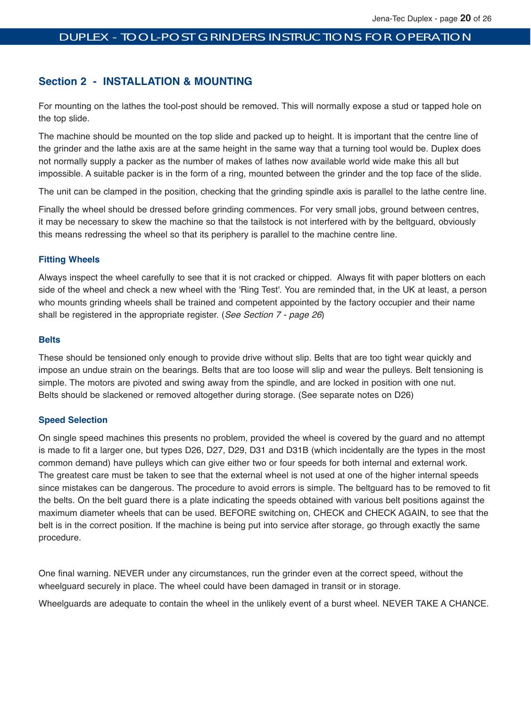# **Section 2 - INSTALLATION & MOUNTING**

For mounting on the lathes the tool-post should be removed. This will normally expose a stud or tapped hole on the top slide.

The machine should be mounted on the top slide and packed up to height. It is important that the centre line of the grinder and the lathe axis are at the same height in the same way that a turning tool would be. Duplex does not normally supply a packer as the number of makes of lathes now available world wide make this all but impossible. A suitable packer is in the form of a ring, mounted between the grinder and the top face of the slide.

The unit can be clamped in the position, checking that the grinding spindle axis is parallel to the lathe centre line.

Finally the wheel should be dressed before grinding commences. For very small jobs, ground between centres, it may be necessary to skew the machine so that the tailstock is not interfered with by the beltguard, obviously this means redressing the wheel so that its periphery is parallel to the machine centre line.

#### **Fitting Wheels**

Always inspect the wheel carefully to see that it is not cracked or chipped. Always fit with paper blotters on each side of the wheel and check a new wheel with the 'Ring Test'. You are reminded that, in the UK at least, a person who mounts grinding wheels shall be trained and competent appointed by the factory occupier and their name shall be registered in the appropriate register. (See Section 7 - page 26)

#### **Belts**

These should be tensioned only enough to provide drive without slip. Belts that are too tight wear quickly and impose an undue strain on the bearings. Belts that are too loose will slip and wear the pulleys. Belt tensioning is simple. The motors are pivoted and swing away from the spindle, and are locked in position with one nut. Belts should be slackened or removed altogether during storage. (See separate notes on D26)

#### **Speed Selection**

On single speed machines this presents no problem, provided the wheel is covered by the guard and no attempt is made to fit a larger one, but types D26, D27, D29, D31 and D31B (which incidentally are the types in the most common demand) have pulleys which can give either two or four speeds for both internal and external work. The greatest care must be taken to see that the external wheel is not used at one of the higher internal speeds since mistakes can be dangerous. The procedure to avoid errors is simple. The beltguard has to be removed to fit the belts. On the belt guard there is a plate indicating the speeds obtained with various belt positions against the maximum diameter wheels that can be used. BEFORE switching on, CHECK and CHECK AGAIN, to see that the belt is in the correct position. If the machine is being put into service after storage, go through exactly the same procedure.

One final warning. NEVER under any circumstances, run the grinder even at the correct speed, without the wheelguard securely in place. The wheel could have been damaged in transit or in storage.

Wheelguards are adequate to contain the wheel in the unlikely event of a burst wheel. NEVER TAKE A CHANCE.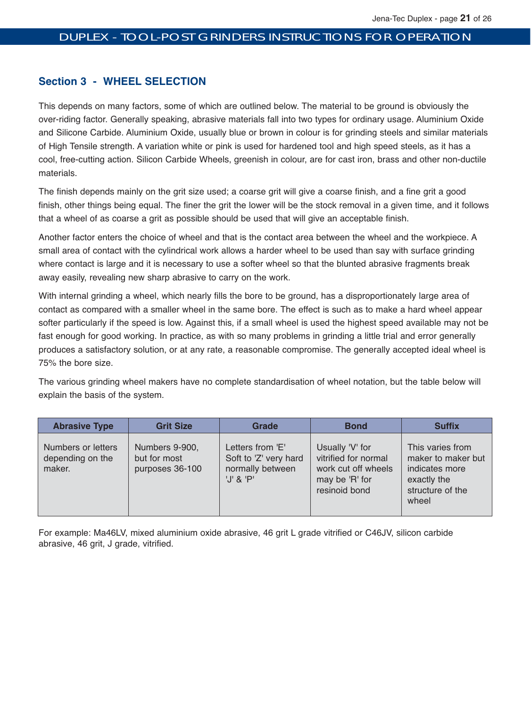# **Section 3 - WHEEL SELECTION**

This depends on many factors, some of which are outlined below. The material to be ground is obviously the over-riding factor. Generally speaking, abrasive materials fall into two types for ordinary usage. Aluminium Oxide and Silicone Carbide. Aluminium Oxide, usually blue or brown in colour is for grinding steels and similar materials of High Tensile strength. A variation white or pink is used for hardened tool and high speed steels, as it has a cool, free-cutting action. Silicon Carbide Wheels, greenish in colour, are for cast iron, brass and other non-ductile materials.

The finish depends mainly on the grit size used; a coarse grit will give a coarse finish, and a fine grit a good finish, other things being equal. The finer the grit the lower will be the stock removal in a given time, and it follows that a wheel of as coarse a grit as possible should be used that will give an acceptable finish.

Another factor enters the choice of wheel and that is the contact area between the wheel and the workpiece. A small area of contact with the cylindrical work allows a harder wheel to be used than say with surface grinding where contact is large and it is necessary to use a softer wheel so that the blunted abrasive fragments break away easily, revealing new sharp abrasive to carry on the work.

With internal grinding a wheel, which nearly fills the bore to be ground, has a disproportionately large area of contact as compared with a smaller wheel in the same bore. The effect is such as to make a hard wheel appear softer particularly if the speed is low. Against this, if a small wheel is used the highest speed available may not be fast enough for good working. In practice, as with so many problems in grinding a little trial and error generally produces a satisfactory solution, or at any rate, a reasonable compromise. The generally accepted ideal wheel is 75% the bore size.

The various grinding wheel makers have no complete standardisation of wheel notation, but the table below will explain the basis of the system.

| <b>Abrasive Type</b>                             | <b>Grit Size</b>                                  | <b>Grade</b>                                                                  | <b>Bond</b>                                                                                       | <b>Suffix</b>                                                                                        |
|--------------------------------------------------|---------------------------------------------------|-------------------------------------------------------------------------------|---------------------------------------------------------------------------------------------------|------------------------------------------------------------------------------------------------------|
| Numbers or letters<br>depending on the<br>maker. | Numbers 9-900,<br>but for most<br>purposes 36-100 | Letters from 'E'<br>Soft to 'Z' very hard<br>normally between<br>$'$ J' & 'P' | Usually 'V' for<br>vitrified for normal<br>work cut off wheels<br>may be 'R' for<br>resinoid bond | This varies from<br>maker to maker but<br>indicates more<br>exactly the<br>structure of the<br>wheel |

For example: Ma46LV, mixed aluminium oxide abrasive, 46 grit L grade vitrified or C46JV, silicon carbide abrasive, 46 grit, J grade, vitrified.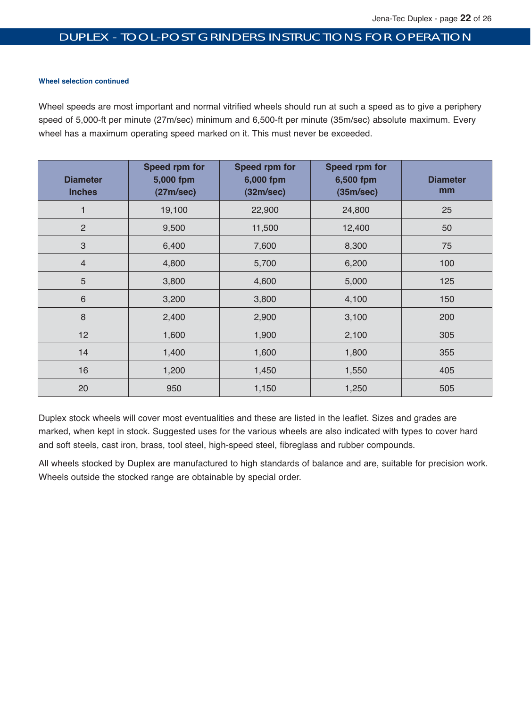#### **Wheel selection continued**

Wheel speeds are most important and normal vitrified wheels should run at such a speed as to give a periphery speed of 5,000-ft per minute (27m/sec) minimum and 6,500-ft per minute (35m/sec) absolute maximum. Every wheel has a maximum operating speed marked on it. This must never be exceeded.

| <b>Diameter</b><br><b>Inches</b> | Speed rpm for<br>5,000 fpm<br>(27m/sec) | <b>Speed rpm for</b><br>6,000 fpm<br>(32m/sec) | Speed rpm for<br>6,500 fpm<br>(35m/sec) | <b>Diameter</b><br>mm |
|----------------------------------|-----------------------------------------|------------------------------------------------|-----------------------------------------|-----------------------|
| 1                                | 19,100                                  | 22,900                                         | 24,800                                  | 25                    |
| $\overline{2}$                   | 9,500                                   | 11,500                                         | 12,400                                  | 50                    |
| 3                                | 6,400                                   | 7,600                                          | 8,300                                   | 75                    |
| $\overline{4}$                   | 4,800                                   | 5,700                                          | 6,200                                   | 100                   |
| 5                                | 3,800                                   | 4,600                                          | 5,000                                   | 125                   |
| $6\phantom{1}6$                  | 3,200                                   | 3,800                                          | 4,100                                   | 150                   |
| 8                                | 2,400                                   | 2,900                                          | 3,100                                   | 200                   |
| 12                               | 1,600                                   | 1,900                                          | 2,100                                   | 305                   |
| 14                               | 1,400                                   | 1,600                                          | 1,800                                   | 355                   |
| 16                               | 1,200                                   | 1,450                                          | 1,550                                   | 405                   |
| 20                               | 950                                     | 1,150                                          | 1,250                                   | 505                   |

Duplex stock wheels will cover most eventualities and these are listed in the leaflet. Sizes and grades are marked, when kept in stock. Suggested uses for the various wheels are also indicated with types to cover hard and soft steels, cast iron, brass, tool steel, high-speed steel, fibreglass and rubber compounds.

All wheels stocked by Duplex are manufactured to high standards of balance and are, suitable for precision work. Wheels outside the stocked range are obtainable by special order.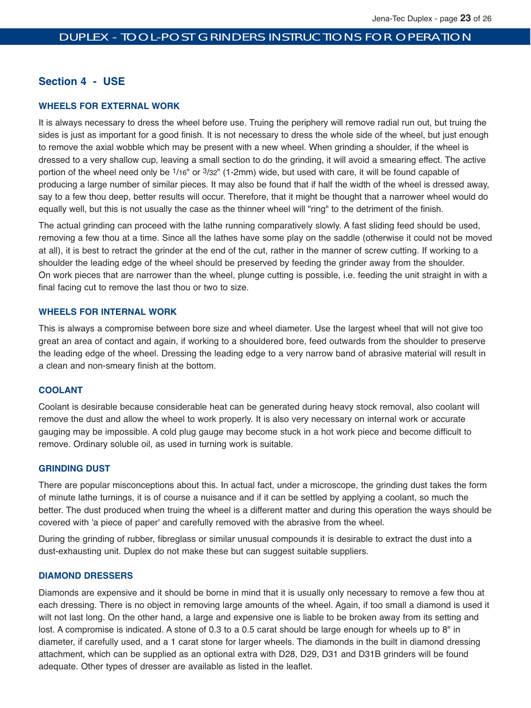# **Section 4 - USE**

#### **WHEELS FOR EXTERNAL WORK**

It is always necessary to dress the wheel before use. Truing the periphery will remove radial run out, but truing the sides is just as important for a good finish. It is not necessary to dress the whole side of the wheel, but just enough to remove the axial wobble which may be present with a new wheel. When grinding a shoulder, if the wheel is dressed to a very shallow cup, leaving a small section to do the grinding, it will avoid a smearing effect. The active portion of the wheel need only be 1/16" or 3/32" (1-2mm) wide, but used with care, it will be found capable of producing a large number of similar pieces. It may also be found that if half the width of the wheel is dressed away, say to a few thou deep, better results will occur. Therefore, that it might be thought that a narrower wheel would do equally well, but this is not usually the case as the thinner wheel will "ring" to the detriment of the finish.

The actual grinding can proceed with the lathe running comparatively slowly. A fast sliding feed should be used, removing a few thou at a time. Since all the lathes have some play on the saddle (otherwise it could not be moved at all), it is best to retract the grinder at the end of the cut, rather in the manner of screw cutting. If working to a shoulder the leading edge of the wheel should be preserved by feeding the grinder away from the shoulder. On work pieces that are narrower than the wheel, plunge cutting is possible, i.e. feeding the unit straight in with a final facing cut to remove the last thou or two to size.

#### **WHEELS FOR INTERNAL WORK**

This is always a compromise between bore size and wheel diameter. Use the largest wheel that will not give too great an area of contact and again, if working to a shouldered bore, feed outwards from the shoulder to preserve the leading edge of the wheel. Dressing the leading edge to a very narrow band of abrasive material will result in a clean and non-smeary finish at the bottom.

#### **COOLANT**

Coolant is desirable because considerable heat can be generated during heavy stock removal, also coolant will remove the dust and allow the wheel to work properly. It is also very necessary on internal work or accurate gauging may be impossible. A cold plug gauge may become stuck in a hot work piece and become difficult to remove. Ordinary soluble oil, as used in turning work is suitable.

#### **GRINDING DUST**

There are popular misconceptions about this. In actual fact, under a microscope, the grinding dust takes the form of minute lathe turnings, it is of course a nuisance and if it can be settled by applying a coolant, so much the better. The dust produced when truing the wheel is a different matter and during this operation the ways should be covered with 'a piece of paper' and carefully removed with the abrasive from the wheel.

During the grinding of rubber, fibreglass or similar unusual compounds it is desirable to extract the dust into a dust-exhausting unit. Duplex do not make these but can suggest suitable suppliers.

#### **DIAMOND DRESSERS**

Diamonds are expensive and it should be borne in mind that it is usually only necessary to remove a few thou at each dressing. There is no object in removing large amounts of the wheel. Again, if too small a diamond is used it wilt not last long. On the other hand, a large and expensive one is liable to be broken away from its setting and lost. A compromise is indicated. A stone of 0.3 to a 0.5 carat should be large enough for wheels up to 8" in diameter, if carefully used, and a 1 carat stone for larger wheels. The diamonds in the built in diamond dressing attachment, which can be supplied as an optional extra with D28, D29, D31 and D31B grinders will be found adequate. Other types of dresser are available as listed in the leaflet.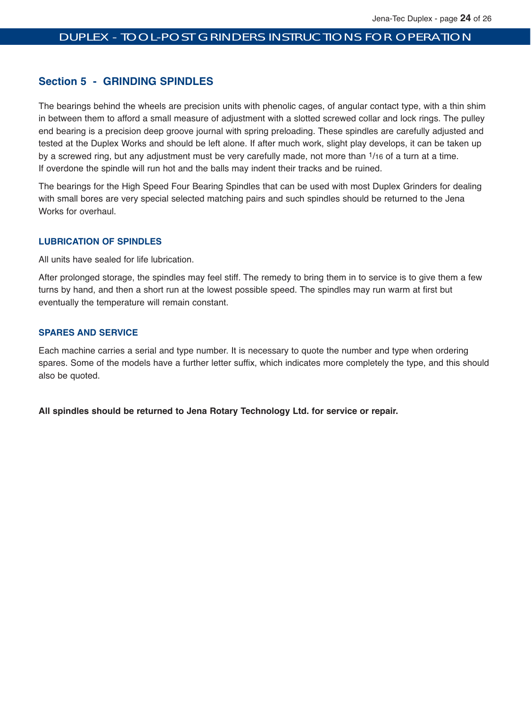## **Section 5 - GRINDING SPINDLES**

The bearings behind the wheels are precision units with phenolic cages, of angular contact type, with a thin shim in between them to afford a small measure of adjustment with a slotted screwed collar and lock rings. The pulley end bearing is a precision deep groove journal with spring preloading. These spindles are carefully adjusted and tested at the Duplex Works and should be left alone. If after much work, slight play develops, it can be taken up by a screwed ring, but any adjustment must be very carefully made, not more than 1/16 of a turn at a time. If overdone the spindle will run hot and the balls may indent their tracks and be ruined.

The bearings for the High Speed Four Bearing Spindles that can be used with most Duplex Grinders for dealing with small bores are very special selected matching pairs and such spindles should be returned to the Jena Works for overhaul.

#### **LUBRICATION OF SPINDLES**

All units have sealed for life lubrication.

After prolonged storage, the spindles may feel stiff. The remedy to bring them in to service is to give them a few turns by hand, and then a short run at the lowest possible speed. The spindles may run warm at first but eventually the temperature will remain constant.

#### **SPARES AND SERVICE**

Each machine carries a serial and type number. It is necessary to quote the number and type when ordering spares. Some of the models have a further letter suffix, which indicates more completely the type, and this should also be quoted.

**All spindles should be returned to Jena Rotary Technology Ltd. for service or repair.**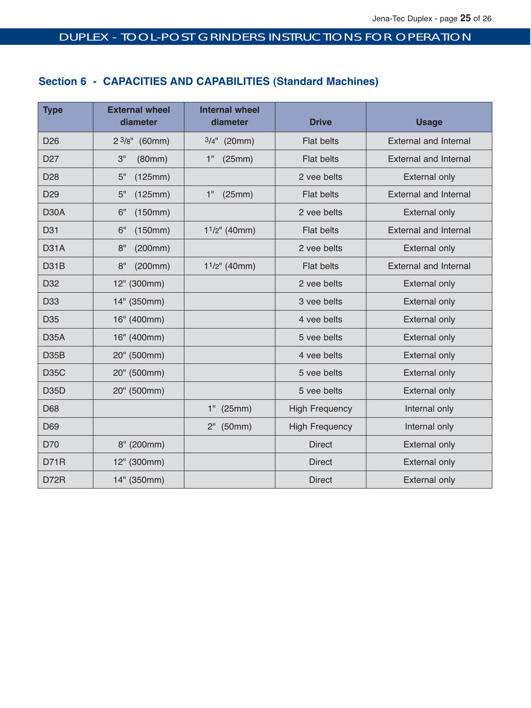# **Section 6 - CAPACITIES AND CAPABILITIES (Standard Machines)**

| <b>Type</b>       | <b>External wheel</b><br>diameter | <b>Internal wheel</b><br>diameter | <b>Drive</b>          | <b>Usage</b>                 |
|-------------------|-----------------------------------|-----------------------------------|-----------------------|------------------------------|
| D <sub>26</sub>   | $2\frac{3}{8}$ " (60mm)           | $3/4"$ (20mm)                     | <b>Flat belts</b>     | <b>External and Internal</b> |
| D <sub>27</sub>   | 3"<br>(80mm)                      | 1"<br>(25mm)                      | <b>Flat belts</b>     | <b>External and Internal</b> |
| D <sub>28</sub>   | 5"<br>(125mm)                     |                                   | 2 vee belts           | <b>External only</b>         |
| D <sub>29</sub>   | 5"<br>(125mm)                     | 1"<br>(25mm)                      | <b>Flat belts</b>     | <b>External and Internal</b> |
| <b>D30A</b>       | 6"<br>(150mm)                     |                                   | 2 vee belts           | <b>External only</b>         |
| D <sub>31</sub>   | 6"<br>(150mm)                     | $11/2$ " (40mm)                   | <b>Flat belts</b>     | <b>External and Internal</b> |
| <b>D31A</b>       | 8"<br>(200mm)                     |                                   | 2 vee belts           | <b>External only</b>         |
| D31B              | 8"<br>(200mm)                     | $11/2"$ (40mm)                    | Flat belts            | <b>External and Internal</b> |
| D <sub>32</sub>   | 12" (300mm)                       |                                   | 2 vee belts           | <b>External only</b>         |
| D <sub>33</sub>   | 14" (350mm)                       |                                   | 3 vee belts           | <b>External only</b>         |
| D35               | 16" (400mm)                       |                                   | 4 vee belts           | <b>External only</b>         |
| <b>D35A</b>       | 16" (400mm)                       |                                   | 5 vee belts           | <b>External only</b>         |
| D <sub>35</sub> B | 20" (500mm)                       |                                   | 4 vee belts           | <b>External only</b>         |
| <b>D35C</b>       | 20" (500mm)                       |                                   | 5 vee belts           | <b>External only</b>         |
| <b>D35D</b>       | 20" (500mm)                       |                                   | 5 vee belts           | <b>External only</b>         |
| D68               |                                   | $1"$ (25mm)                       | <b>High Frequency</b> | Internal only                |
| D69               |                                   | 2" (50mm)                         | <b>High Frequency</b> | Internal only                |
| D70               | 8" (200mm)                        |                                   | <b>Direct</b>         | <b>External only</b>         |
| D71R              | 12" (300mm)                       |                                   | <b>Direct</b>         | <b>External only</b>         |
| <b>D72R</b>       | 14" (350mm)                       |                                   | <b>Direct</b>         | <b>External only</b>         |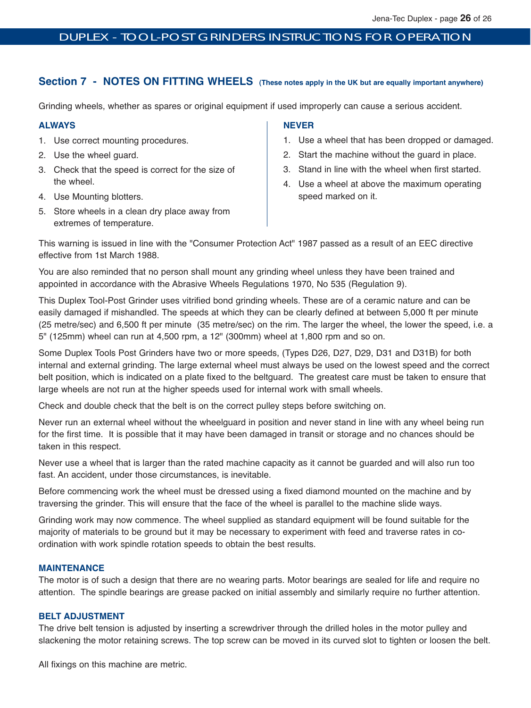# **Section 7 - NOTES ON FITTING WHEELS** (These notes apply in the UK but are equally important anywhere)

Grinding wheels, whether as spares or original equipment if used improperly can cause a serious accident.

#### **ALWAYS**

- 1. Use correct mounting procedures.
- 2. Use the wheel guard.
- 3. Check that the speed is correct for the size of the wheel.
- 4. Use Mounting blotters.
- 5. Store wheels in a clean dry place away from extremes of temperature.

#### **NEVER**

- 1. Use a wheel that has been dropped or damaged.
- 2. Start the machine without the guard in place.
- 3. Stand in line with the wheel when first started.
- 4. Use a wheel at above the maximum operating speed marked on it.

This warning is issued in line with the "Consumer Protection Act" 1987 passed as a result of an EEC directive effective from 1st March 1988.

You are also reminded that no person shall mount any grinding wheel unless they have been trained and appointed in accordance with the Abrasive Wheels Regulations 1970, No 535 (Regulation 9).

This Duplex Tool-Post Grinder uses vitrified bond grinding wheels. These are of a ceramic nature and can be easily damaged if mishandled. The speeds at which they can be clearly defined at between 5,000 ft per minute (25 metre/sec) and 6,500 ft per minute (35 metre/sec) on the rim. The larger the wheel, the lower the speed, i.e. a 5" (125mm) wheel can run at 4,500 rpm, a 12" (300mm) wheel at 1,800 rpm and so on.

Some Duplex Tools Post Grinders have two or more speeds, (Types D26, D27, D29, D31 and D31B) for both internal and external grinding. The large external wheel must always be used on the lowest speed and the correct belt position, which is indicated on a plate fixed to the beltguard. The greatest care must be taken to ensure that large wheels are not run at the higher speeds used for internal work with small wheels.

Check and double check that the belt is on the correct pulley steps before switching on.

Never run an external wheel without the wheelguard in position and never stand in line with any wheel being run for the first time. It is possible that it may have been damaged in transit or storage and no chances should be taken in this respect.

Never use a wheel that is larger than the rated machine capacity as it cannot be guarded and will also run too fast. An accident, under those circumstances, is inevitable.

Before commencing work the wheel must be dressed using a fixed diamond mounted on the machine and by traversing the grinder. This will ensure that the face of the wheel is parallel to the machine slide ways.

Grinding work may now commence. The wheel supplied as standard equipment will be found suitable for the majority of materials to be ground but it may be necessary to experiment with feed and traverse rates in coordination with work spindle rotation speeds to obtain the best results.

# **MAINTENANCE**

The motor is of such a design that there are no wearing parts. Motor bearings are sealed for life and require no attention. The spindle bearings are grease packed on initial assembly and similarly require no further attention.

#### **BELT ADJUSTMENT**

The drive belt tension is adjusted by inserting a screwdriver through the drilled holes in the motor pulley and slackening the motor retaining screws. The top screw can be moved in its curved slot to tighten or loosen the belt.

All fixings on this machine are metric.